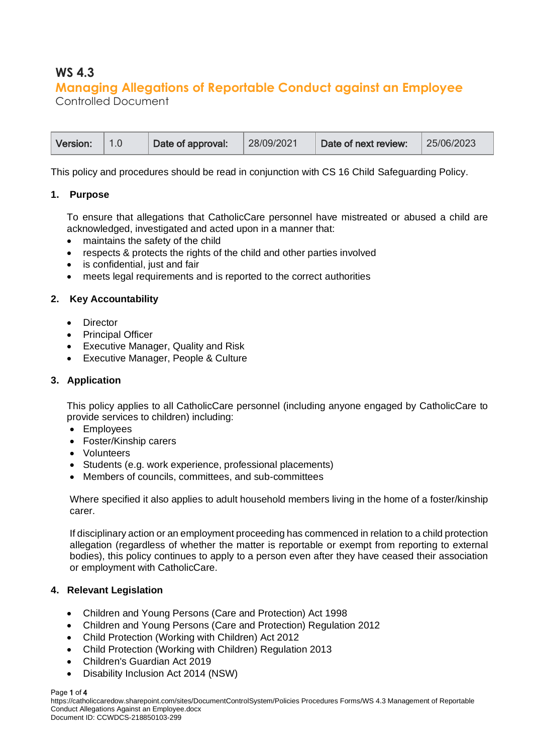# **WS 4.3 Managing Allegations of Reportable Conduct against an Employee**

Controlled Document

This policy and procedures should be read in conjunction with CS 16 Child Safeguarding Policy.

# **1. Purpose**

To ensure that allegations that CatholicCare personnel have mistreated or abused a child are acknowledged, investigated and acted upon in a manner that:

- maintains the safety of the child
- respects & protects the rights of the child and other parties involved
- is confidential, just and fair
- meets legal requirements and is reported to the correct authorities

# **2. Key Accountability**

- Director
- Principal Officer
- Executive Manager, Quality and Risk
- Executive Manager, People & Culture

# **3. Application**

This policy applies to all CatholicCare personnel (including anyone engaged by CatholicCare to provide services to children) including:

- Employees
- Foster/Kinship carers
- Volunteers
- Students (e.g. work experience, professional placements)
- Members of councils, committees, and sub-committees

Where specified it also applies to adult household members living in the home of a foster/kinship carer.

If disciplinary action or an employment proceeding has commenced in relation to a child protection allegation (regardless of whether the matter is reportable or exempt from reporting to external bodies), this policy continues to apply to a person even after they have ceased their association or employment with CatholicCare.

#### **4. Relevant Legislation**

- [Children and Young Persons \(Care and Protection\) Act 1998](http://www.austlii.edu.au/au/legis/nsw/consol_act/caypapa1998442/)
- Children and Young Persons (Care and Protection) Regulation 2012
- Child Protection (Working with Children) Act 2012
- Child Protection (Working with Children) Regulation 2013
- Children's Guardian Act 2019
- Disability Inclusion Act 2014 (NSW)

#### Page 1 of 4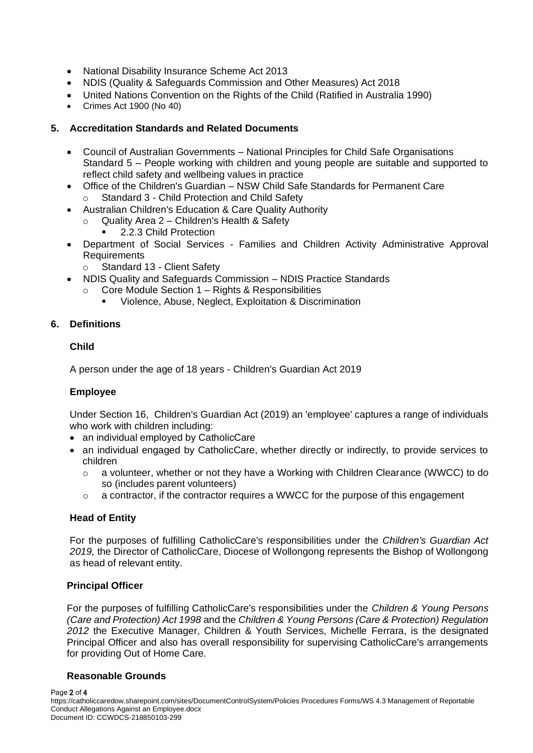- National Disability Insurance Scheme Act 2013
- NDIS (Quality & Safeguards Commission and Other Measures) Act 2018
- United Nations Convention on the Rights of the Child (Ratified in Australia 1990)
- Crimes Act 1900 (No 40)

# **5. Accreditation Standards and Related Documents**

- Council of Australian Governments National Principles for Child Safe Organisations Standard 5 – People working with children and young people are suitable and supported to reflect child safety and wellbeing values in practice
- Office of the Children's Guardian NSW Child Safe Standards for Permanent Care Standard 3 - Child Protection and Child Safety
- Australian Children's Education & Care Quality Authority
	- $\circ$  Quality Area 2 Children's Health & Safety
		- 2.2.3 Child Protection
- Department of Social Services Families and Children Activity Administrative Approval **Requirements** 
	- o Standard 13 Client Safety
- NDIS Quality and Safeguards Commission NDIS Practice Standards
	- Core Module Section 1 Rights & Responsibilities
		- Violence, Abuse, Neglect, Exploitation & Discrimination

# **6. Definitions**

#### **Child**

A person under the age of 18 years - Children's Guardian Act 2019

#### **Employee**

Under Section 16, Children's Guardian Act (2019) an 'employee' captures a range of individuals who work with children including:

- an individual employed by CatholicCare
- an individual engaged by CatholicCare, whether directly or indirectly, to provide services to children
	- o a volunteer, whether or not they have a Working with Children Clearance (WWCC) to do so (includes parent volunteers)
	- $\circ$  a contractor, if the contractor requires a WWCC for the purpose of this engagement

### **Head of Entity**

For the purposes of fulfilling CatholicCare's responsibilities under the *Children's Guardian Act 2019,* the Director of CatholicCare, Diocese of Wollongong represents the Bishop of Wollongong as head of relevant entity.

#### **Principal Officer**

For the purposes of fulfilling CatholicCare's responsibilities under the *Children & Young Persons (Care and Protection) Act 1998* and the *Children & Young Persons (Care & Protection) Regulation 2012* the Executive Manager, Children & Youth Services, Michelle Ferrara, is the designated Principal Officer and also has overall responsibility for supervising CatholicCare's arrangements for providing Out of Home Care.

#### **Reasonable Grounds**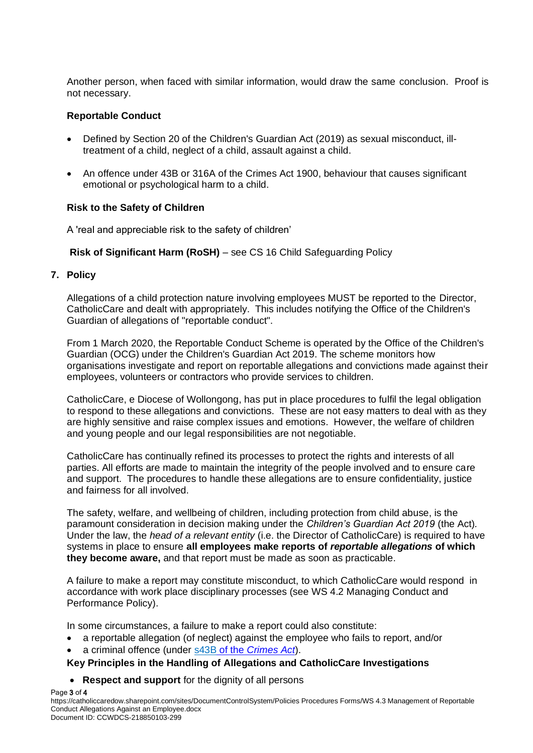Another person, when faced with similar information, would draw the same conclusion. Proof is not necessary.

#### **Reportable Conduct**

- Defined by Section 20 of the Children's Guardian Act (2019) as sexual misconduct, illtreatment of a child, neglect of a child, assault against a child.
- An offence under 43B or 316A of the Crimes Act 1900, behaviour that causes significant emotional or psychological harm to a child.

#### **Risk to the Safety of Children**

A 'real and appreciable risk to the safety of children'

# **Risk of Significant Harm (RoSH)** – see CS 16 Child Safeguarding Policy

# **7. Policy**

Allegations of a child protection nature involving employees MUST be reported to the Director, CatholicCare and dealt with appropriately. This includes notifying the Office of the Children's Guardian of allegations of "reportable conduct".

From 1 March 2020, the Reportable Conduct Scheme is operated by the Office of the Children's Guardian (OCG) under the Children's Guardian Act 2019. The scheme monitors how organisations investigate and report on reportable allegations and convictions made against their employees, volunteers or contractors who provide services to children.

CatholicCare, e Diocese of Wollongong, has put in place procedures to fulfil the legal obligation to respond to these allegations and convictions. These are not easy matters to deal with as they are highly sensitive and raise complex issues and emotions. However, the welfare of children and young people and our legal responsibilities are not negotiable.

CatholicCare has continually refined its processes to protect the rights and interests of all parties. All efforts are made to maintain the integrity of the people involved and to ensure care and support. The procedures to handle these allegations are to ensure confidentiality, justice and fairness for all involved.

The safety, welfare, and wellbeing of children, including protection from child abuse, is the paramount consideration in decision making under the *Children's Guardian Act 2019* (the Act)*.*  Under the law, the *head of a relevant entity* (i.e. the Director of CatholicCare) is required to have systems in place to ensure **all employees make reports of** *reportable allegations* **of which they become aware,** and that report must be made as soon as practicable.

A failure to make a report may constitute misconduct, to which CatholicCare would respond in accordance with work place disciplinary processes (see WS 4.2 Managing Conduct and Performance Policy).

In some circumstances, a failure to make a report could also constitute:

- a reportable allegation (of neglect) against the employee who fails to report, and/or
- a criminal offence (under s43B of the *[Crimes Act](https://www.legislation.nsw.gov.au/#/view/act/1900/40/part3/div6/sec43b)*).

# **Key Principles in the Handling of Allegations and CatholicCare Investigations**

• **Respect and support** for the dignity of all persons

Page 3 of 4